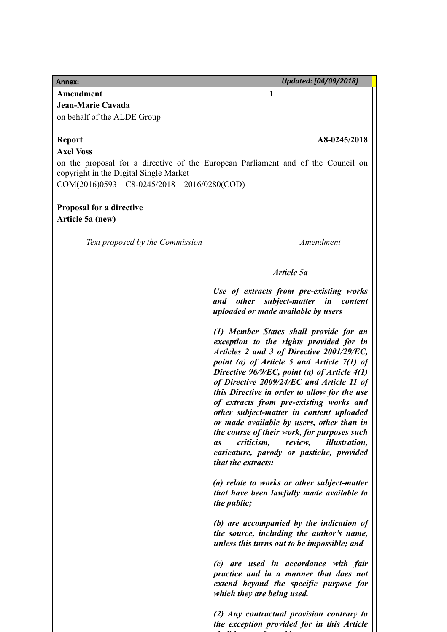**Annex:** *Updated: [04/09/2018]*

**Amendment 1 Jean-Marie Cavada** on behalf of the ALDE Group

### **Axel Voss**

### **Report A8-0245/2018**

on the proposal for a directive of the European Parliament and of the Council on copyright in the Digital Single Market COM(2016)0593 – C8-0245/2018 – 2016/0280(COD)

## **Proposal for a directive Article 5a (new)**

*Text proposed by the Commission Amendment*

## *Article 5a*

*Use of extracts from pre-existing works and other subject-matter in content uploaded or made available by users*

*(1) Member States shall provide for an exception to the rights provided for in Articles 2 and 3 of Directive 2001/29/EC, point (a) of Article 5 and Article 7(1) of Directive 96/9/EC, point (a) of Article 4(1) of Directive 2009/24/EC and Article 11 of this Directive in order to allow for the use of extracts from pre-existing works and other subject-matter in content uploaded or made available by users, other than in the course of their work, for purposes such as criticism, review, illustration, caricature, parody or pastiche, provided that the extracts:*

*(a) relate to works or other subject-matter that have been lawfully made available to the public;*

*(b) are accompanied by the indication of the source, including the author's name, unless this turns out to be impossible; and*

*(c) are used in accordance with fair practice and in a manner that does not extend beyond the specific purpose for which they are being used.*

*(2) Any contractual provision contrary to the exception provided for in this Article shall be unenforceable.*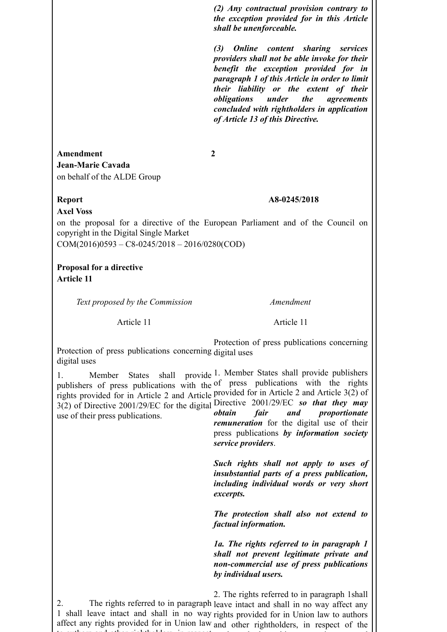*(2) Any contractual provision contrary to the exception provided for in this Article shall be unenforceable.*

*(3) Online content sharing services providers shall not be able invoke for their benefit the exception provided for in paragraph 1 of this Article in order to limit their liability or the extent of their obligations under the agreements concluded with rightholders in application of Article 13 of this Directive.*

**Amendment 2 Jean-Marie Cavada** on behalf of the ALDE Group

## **Report A8-0245/2018**

**Axel Voss**

on the proposal for a directive of the European Parliament and of the Council on copyright in the Digital Single Market

COM(2016)0593 – C8-0245/2018 – 2016/0280(COD)

**Proposal for a directive Article 11** 

*Text proposed by the Commission Amendment*

Article 11

Article 11

Protection of press publications concerning digital uses digital uses Protection of press publications concerning

1. Member States shall provide publishers of press publications with the of press publications with the rights rights provided for in Article 2 and Article provided for in Article 2 and Article 3(2) of 3(2) of Directive 2001/29/EC for the digital Directive 2001/29/EC *so that they may* use of their press publications. provide 1. Member States shall provide publishers *obtain fair and proportionate*

*remuneration* for the digital use of their press publications *by information society service providers*.

*Such rights shall not apply to uses of insubstantial parts of a press publication, including individual words or very short excerpts.*

*The protection shall also not extend to factual information.*

*1a. The rights referred to in paragraph 1 shall not prevent legitimate private and non-commercial use of press publications by individual users.*

2. The rights referred to in paragraph leave intact and shall in no way affect any 1 shall leave intact and shall in no way rights provided for in Union law to authors affect any rights provided for in Union law and other rightholders, in respect of the to authors and other rightholders, in respect 2. The rights referred to in paragraph 1shall works and other subject-matter incorporated incorporated incorporated incorporated incorporated incorporated i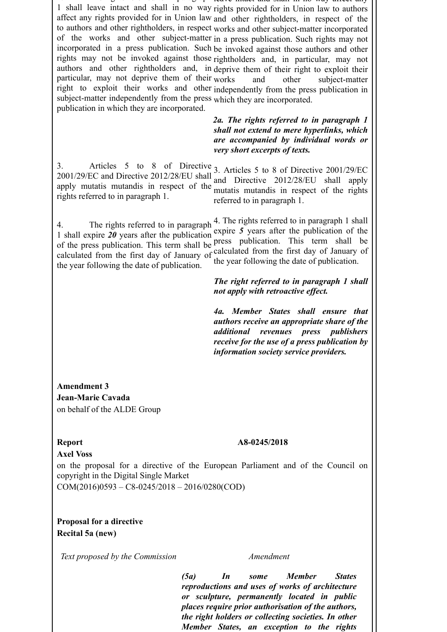2. The rights referred to in paragraphi 1 shall leave intact and shall in no way affect any rights provided for in Union law and other rightholders, in respect of the to authors and other rightholders, in respect works and other subject-matter incorporated of the works and other subject-matter in a press publication. Such rights may not incorporated in a press publication. Such be invoked against those authors and other rights may not be invoked against those rightholders and, in particular, may not authors and other rightholders and, in deprive them of their right to exploit their particular, may not deprive them of their works right to exploit their works and other independently from the press publication in subject-matter independently from the press which they are incorporated. publication in which they are incorporated. leave intact and shall in no way affect any rights provided for in Union law to authors and other subject-matter

> *2a. The rights referred to in paragraph 1 shall not extend to mere hyperlinks, which are accompanied by individual words or very short excerpts of texts.*

3. Articles 5 to 8 of Directive 3. Articles 5 to 8 of Directive 2001/29/EC 2001/29/EC and Directive 2012/28/EU shall apply mutatis mutandis in respect of the mutatis mutandis in respect of the rights rights referred to in paragraph 1. and Directive 2012/28/EU shall apply referred to in paragraph 1.

4. The rights referred to in paragraph 1 shall expire *20* years after the publication of the press publication. This term shall be press publication. This term shall be calculated from the first day of January of calculated from the first day of January of the year following the date of publication. 4. The rights referred to in paragraph 1 shall expire *5* years after the publication of the the year following the date of publication.

> *The right referred to in paragraph 1 shall not apply with retroactive effect.*

> *4a. Member States shall ensure that authors receive an appropriate share of the additional revenues press publishers receive for the use of a press publication by information society service providers.*

**Amendment 3 Jean-Marie Cavada** on behalf of the ALDE Group

## **Report A8-0245/2018**

## **Axel Voss**

on the proposal for a directive of the European Parliament and of the Council on copyright in the Digital Single Market

COM(2016)0593 – C8-0245/2018 – 2016/0280(COD)

**Proposal for a directive Recital 5a (new)** 

*Text proposed by the Commission Amendment*

*(5a) In some Member States reproductions and uses of works of architecture or sculpture, permanently located in public places require prior authorisation of the authors, the right holders or collecting societies. In other Member States, an exception to the rights*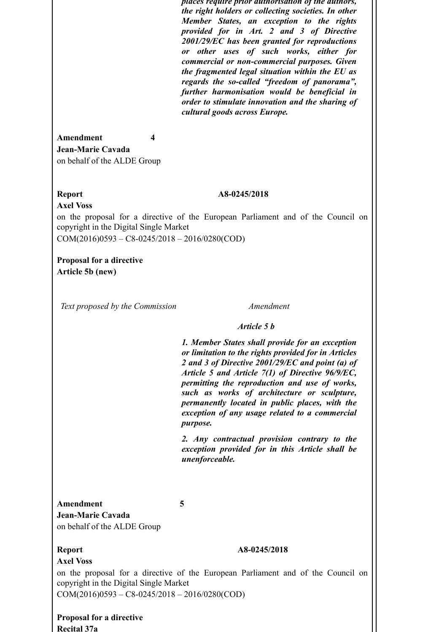*places require prior authorisation of the authors, the right holders or collecting societies. In other Member States, an exception to the rights provided for in Art. 2 and 3 of Directive 2001/29/EC has been granted for reproductions or other uses of such works, either for commercial or non-commercial purposes. Given the fragmented legal situation within the EU as regards the so-called "freedom of panorama", further harmonisation would be beneficial in order to stimulate innovation and the sharing of cultural goods across Europe.*

**Amendment 4 Jean-Marie Cavada** on behalf of the ALDE Group

## **Report A8-0245/2018**

**Axel Voss** on the proposal for a directive of the European Parliament and of the Council on copyright in the Digital Single Market

COM(2016)0593 – C8-0245/2018 – 2016/0280(COD)

**Proposal for a directive Article 5b (new)** 

*Text proposed by the Commission Amendment*

### *Article 5 b*

*1. Member States shall provide for an exception or limitation to the rights provided for in Articles 2 and 3 of Directive 2001/29/EC and point (a) of Article 5 and Article 7(1) of Directive 96/9/EC, permitting the reproduction and use of works, such as works of architecture or sculpture, permanently located in public places, with the exception of any usage related to a commercial purpose.*

*2. Any contractual provision contrary to the exception provided for in this Article shall be unenforceable.*

**Amendment 5 Jean-Marie Cavada** on behalf of the ALDE Group

### **Report A8-0245/2018**

**Axel Voss**

on the proposal for a directive of the European Parliament and of the Council on copyright in the Digital Single Market

COM(2016)0593 – C8-0245/2018 – 2016/0280(COD)

**Proposal for a directive Recital 37a**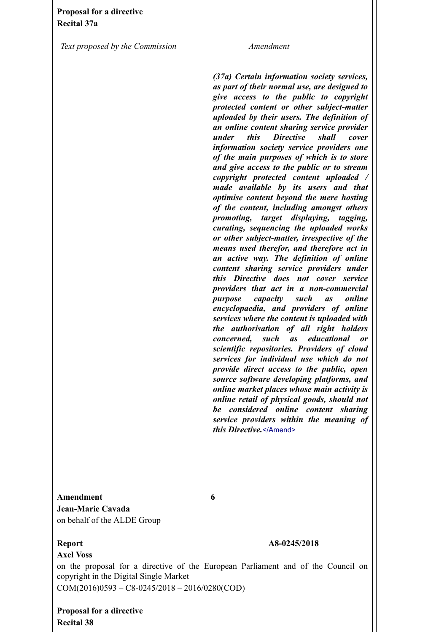*Text proposed by the Commission Amendment*

*(37a) Certain information society services, as part of their normal use, are designed to give access to the public to copyright protected content or other subject-matter uploaded by their users. The definition of an online content sharing service provider under this Directive shall cover information society service providers one of the main purposes of which is to store and give access to the public or to stream copyright protected content uploaded / made available by its users and that optimise content beyond the mere hosting of the content, including amongst others promoting, target displaying, tagging, curating, sequencing the uploaded works or other subject-matter, irrespective of the means used therefor, and therefore act in an active way. The definition of online content sharing service providers under this Directive does not cover service providers that act in a non-commercial purpose capacity such as online encyclopaedia, and providers of online services where the content is uploaded with the authorisation of all right holders concerned, such as educational or scientific repositories. Providers of cloud services for individual use which do not provide direct access to the public, open source software developing platforms, and online market places whose main activity is online retail of physical goods, should not be considered online content sharing service providers within the meaning of this Directive.*</Amend>

# **Amendment 6 Jean-Marie Cavada** on behalf of the ALDE Group

## **Axel Voss**

## **Report A8-0245/2018**

on the proposal for a directive of the European Parliament and of the Council on copyright in the Digital Single Market COM(2016)0593 – C8-0245/2018 – 2016/0280(COD)

**Proposal for a directive Recital 38**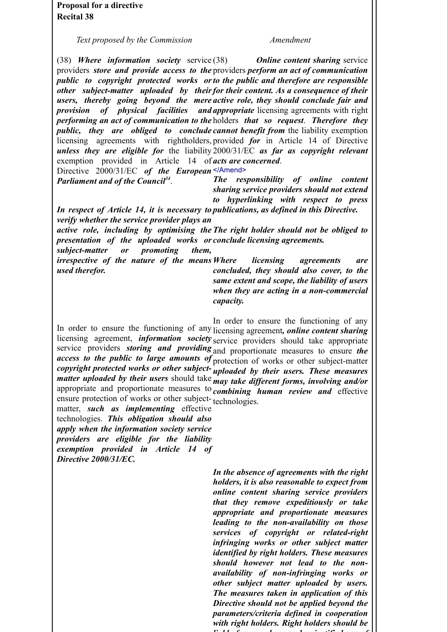**Proposal for a directive Recital 38** 

*Text proposed by the Commission Amendment*

(38) *Where information society* service providers *store and provide access to the* providers *perform an act of communication public to copyright protected works or to the public and therefore are responsible other subject-matter uploaded by their for their content. As a consequence of their* users, thereby going beyond the mere active role, they should conclude fair and *provision of physical facilities and appropriate* licensing agreements with right *performing an act of communication to the* holders *that so request*. *Therefore they public, they are obliged to conclude cannot benefit from* the liability exemption licensing agreements with rightholders, provided *for* in Article 14 of Directive *unless they are eligible for* the liability 2000/31/EC *as far as copyright relevant* exemption provided in Article 14 of *acts are concerned*. *Online content sharing service* 

Directive 2000/31/EC of the European<sup></Amend></sup>

*Parliament and of the Council34*.

*The responsibility of online content sharing service providers should not extend to hyperlinking with respect to press*

*In respect of Article 14, it is necessary to publications, as defined in this Directive. verify whether the service provider plays an*

*active role, including by optimising the The right holder should not be obliged to presentation of the uploaded works or conclude licensing agreements.*

*subject-matter or promoting them, irrespective of the nature of the means used therefor. <i><u>Iicensing</u>* agreements are

*concluded, they should also cover, to the same extent and scope, the liability of users when they are acting in a non-commercial capacity.*

In order to ensure the functioning of any licensing agreement*, online content sharing* licensing agreement, *information society* service providers should take appropriate service providers *storing and providing* and proportionate measures to ensure *the access to the public to large amounts of* protection of works or other subject-matter *copyright protected works or other subject-uploaded by their users. These measures matter uploaded by their users* should take *may take different forms, involving and/or* appropriate and proportionate measures to *combining human review and* effective ensure protection of works or other subject-technologies. In order to ensure the functioning of any

matter, *such as implementing* effective technologies. *This obligation should also apply when the information society service providers are eligible for the liability exemption provided in Article 14 of Directive 2000/31/EC.*

> *In the absence of agreements with the right holders, it is also reasonable to expect from online content sharing service providers that they remove expeditiously or take appropriate and proportionate measures leading to the non-availability on those services of copyright or related-right infringing works or other subject matter identified by right holders. These measures should however not lead to the nonavailability of non-infringing works or other subject matter uploaded by users. The measures taken in application of this Directive should not be applied beyond the parameters/criteria defined in cooperation with right holders. Right holders should be liable for any abuse and unjustified use of*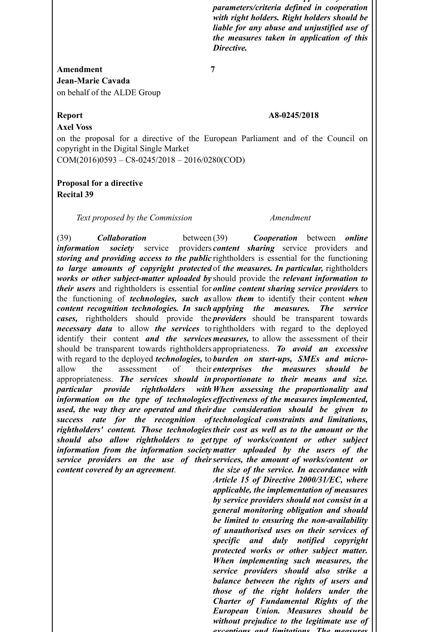*Directive should not be applied beyond the parameters/criteria defined in cooperation with right holders. Right holders should be liable for any abuse and unjustified use of the measures taken in application of this Directive.*

# **Amendment 7 Jean-Marie Cavada** on behalf of the ALDE Group

# **Axel Voss**

## **Report A8-0245/2018**

on the proposal for a directive of the European Parliament and of the Council on copyright in the Digital Single Market

COM(2016)0593 – C8-0245/2018 – 2016/0280(COD)

## **Proposal for a directive Recital 39**

*Text proposed by the Commission Amendment*

(39) *Collaboration* between *information society* service storing and providing access to the public rightholders is essential for the functioning *to large amounts of copyright protected* of *the measures. In particular,* rightholders *works or other subject-matter uploaded by* should provide the *relevant information to their users* and rightholders is essential for *online content sharing service providers* to the functioning of *technologies, such as* allow *them* to identify their content *when content recognition technologies. In such applying the measures. The service cases,* rightholders should provide the *providers* should be transparent towards *necessary data* to allow *the services* to rightholders with regard to the deployed identify their content *and the services measures,* to allow the assessment of their should be transparent towards rightholders appropriateness. *To avoid an excessive* with regard to the deployed *technologies,* to *burden on start-ups, SMEs and micro*allow the assessment of appropriateness. *The services should in proportionate to their means and size. particular provide rightholders information on the type of technologies effectiveness of the measures implemented, used, the way they are operated and their due consideration should be given to success rate for the recognition of technological constraints and limitations, rightholders' content. Those technologies their cost as well as to the amount or the should also allow rightholders to get type of works/content or other subject information from the information society matter uploaded by the users of the* **service providers on the use of their services, the amount of works/content or** *content covered by an agreement*. (39) *Cooperation* between *online* providers *content* sharing service providers and *enterprises the measures should be When assessing the proportionality and the size of the service. In accordance with*

*Article 15 of Directive 2000/31/EC, where applicable, the implementation of measures by service providers should not consist in a general monitoring obligation and should be limited to ensuring the non-availability of unauthorised uses on their services of specific and duly notified copyright protected works or other subject matter. When implementing such measures, the service providers should also strike a balance between the rights of users and those of the right holders under the Charter of Fundamental Rights of the European Union. Measures should be without prejudice to the legitimate use of exceptions and limitations. The measures*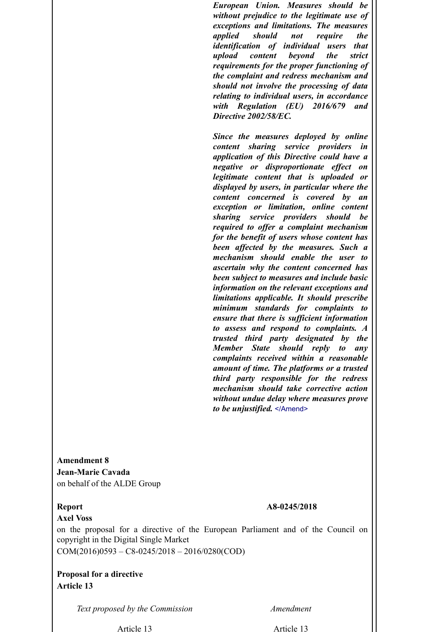*European Union. Measures should be without prejudice to the legitimate use of exceptions and limitations. The measures applied should not require the identification of individual users that upload content beyond the strict requirements for the proper functioning of the complaint and redress mechanism and should not involve the processing of data relating to individual users, in accordance with Regulation (EU) 2016/679 and Directive 2002/58/EC.*

*Since the measures deployed by online content sharing service providers in application of this Directive could have a negative or disproportionate effect on legitimate content that is uploaded or displayed by users, in particular where the content concerned is covered by an exception or limitation, online content sharing service providers should be required to offer a complaint mechanism for the benefit of users whose content has been affected by the measures. Such a mechanism should enable the user to ascertain why the content concerned has been subject to measures and include basic information on the relevant exceptions and limitations applicable. It should prescribe minimum standards for complaints to ensure that there is sufficient information to assess and respond to complaints. A trusted third party designated by the Member State should reply to any complaints received within a reasonable amount of time. The platforms or a trusted third party responsible for the redress mechanism should take corrective action without undue delay where measures prove to be unjustified.* </Amend>

**Amendment 8 Jean-Marie Cavada** on behalf of the ALDE Group

## **Report A8-0245/2018**

**Axel Voss** on the proposal for a directive of the European Parliament and of the Council on copyright in the Digital Single Market COM(2016)0593 – C8-0245/2018 – 2016/0280(COD)

**Proposal for a directive Article 13** 

*Text proposed by the Commission Amendment*

Article 13 Article 13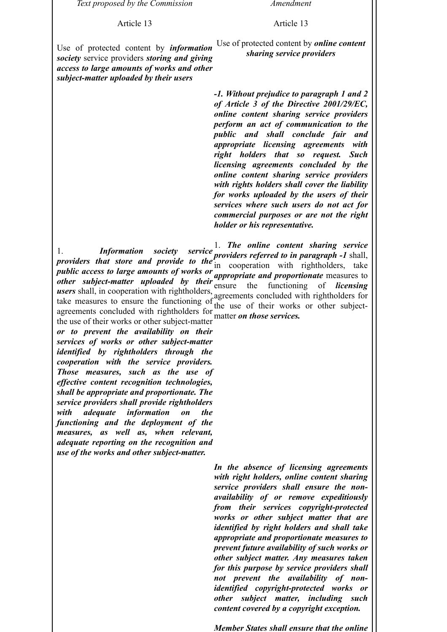*Text proposed by the Commission Amendment*

Article 13

Article 13

Use of protected content by *information society* service providers *storing and giving access to large amounts of works and other subject-matter uploaded by their users*

Use of protected content by *online content sharing service providers*

*-1. Without prejudice to paragraph 1 and 2 of Article 3 of the Directive 2001/29/EC, online content sharing service providers perform an act of communication to the public and shall conclude fair and appropriate licensing agreements with right holders that so request. Such licensing agreements concluded by the online content sharing service providers with rights holders shall cover the liability for works uploaded by the users of their services where such users do not act for commercial purposes or are not the right holder or his representative.*

1. *Information society service providers that store and provide to the providers referred to in paragraph -1* shall, public access to large amounts of works or  $\frac{a}{b}$  cooperation with right-orders, three *and proportionate* measures to *other subject-matter uploaded by their* ensure the functioning of *licensing users* shall, in cooperation with rightholders, agreements concluded with rightholders for take measures to ensure the functioning of the use of their works or other subjectagreements concluded with rightholders for matter *on those services.* 1. *The online content sharing service* in cooperation with rightholders, take

the use of their works or other subject-matter *or to prevent the availability on their services of works or other subject-matter identified by rightholders through the cooperation with the service providers. Those measures, such as the use of effective content recognition technologies, shall be appropriate and proportionate. The service providers shall provide rightholders with adequate information on the functioning and the deployment of the measures, as well as, when relevant, adequate reporting on the recognition and use of the works and other subject-matter.*

> *In the absence of licensing agreements with right holders, online content sharing service providers shall ensure the nonavailability of or remove expeditiously from their services copyright-protected works or other subject matter that are identified by right holders and shall take appropriate and proportionate measures to prevent future availability of such works or other subject matter. Any measures taken for this purpose by service providers shall not prevent the availability of nonidentified copyright-protected works or other subject matter, including such content covered by a copyright exception.*

> *Member States shall ensure that the online*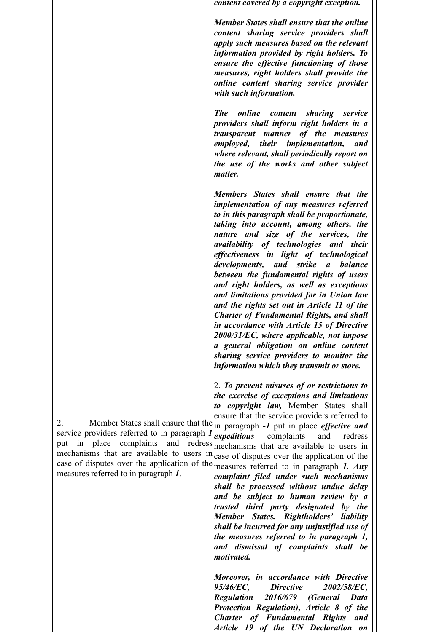*content covered by a copyright exception.*

*Member States shall ensure that the online content sharing service providers shall apply such measures based on the relevant information provided by right holders. To ensure the effective functioning of those measures, right holders shall provide the online content sharing service provider with such information.*

*The online content sharing service providers shall inform right holders in a transparent manner of the measures employed, their implementation, and where relevant, shall periodically report on the use of the works and other subject matter.*

*Members States shall ensure that the implementation of any measures referred to in this paragraph shall be proportionate, taking into account, among others, the nature and size of the services, the availability of technologies and their effectiveness in light of technological developments, and strike a balance between the fundamental rights of users and right holders, as well as exceptions and limitations provided for in Union law and the rights set out in Article 11 of the Charter of Fundamental Rights, and shall in accordance with Article 15 of Directive 2000/31/EC, where applicable, not impose a general obligation on online content sharing service providers to monitor the information which they transmit or store.*

2. *To prevent misuses of or restrictions to the exercise of exceptions and limitations to copyright law,* Member States shall ensure that the service providers referred to

2. Member States shall ensure that the in paragraph *-1* put in place *effective and* service providers referred to in paragraph *1* expeditions put in place complaints and redress mechanisms that are available to users in case of disputes over the application of the case of disputes over the application of the measures referred to in paragraph *1. Any* measures referred to in paragraph *1*. *expeditious* complaints and redress mechanisms that are available to users in

*complaint filed under such mechanisms shall be processed without undue delay and be subject to human review by a trusted third party designated by the Member States. Rightholders' liability shall be incurred for any unjustified use of the measures referred to in paragraph 1, and dismissal of complaints shall be motivated.*

*Moreover, in accordance with Directive 95/46/EC, Directive 2002/58/EC, Regulation 2016/679 (General Data Protection Regulation), Article 8 of the Charter of Fundamental Rights and Article 19 of the UN Declaration on*